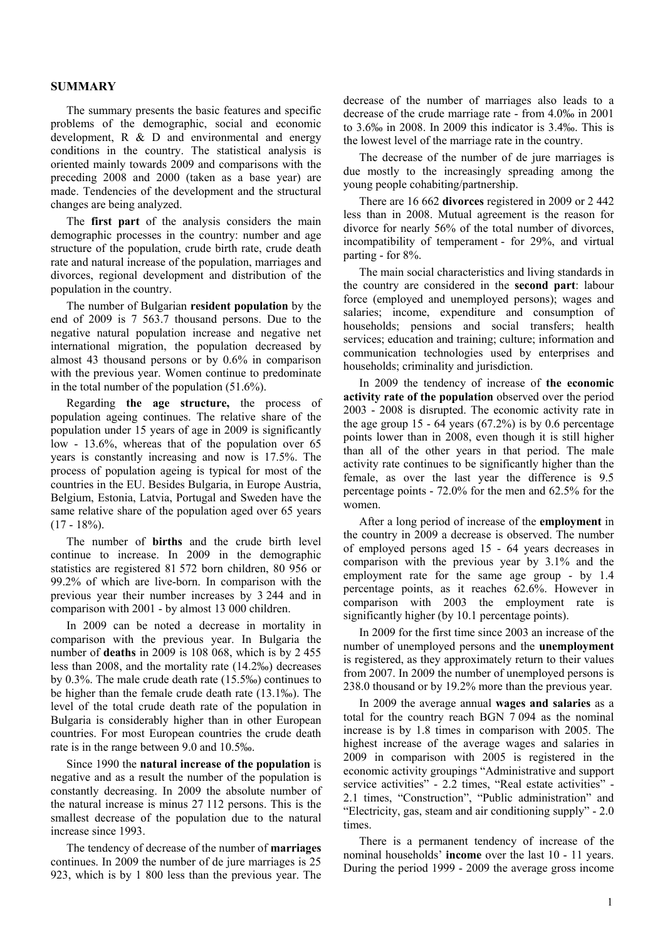## **SUMMARY**

The summary presents the basic features and specific problems of the demographic, social and economic development, R & D and environmental and energy conditions in the country. The statistical analysis is oriented mainly towards 2009 and comparisons with the preceding 2008 and 2000 (taken as a base year) are made. Tendencies of the development and the structural changes are being analyzed.

The **first part** of the analysis considers the main demographic processes in the country: number and age structure of the population, crude birth rate, crude death rate and natural increase of the population, marriages and divorces, regional development and distribution of the population in the country.

The number of Bulgarian **resident population** by the end of 2009 is 7 563.7 thousand persons. Due to the negative natural population increase and negative net international migration, the population decreased by almost 43 thousand persons or by 0.6% in comparison with the previous year. Women continue to predominate in the total number of the population (51.6%).

Regarding **the age structure,** the process of population ageing continues. The relative share of the population under 15 years of age in 2009 is significantly low - 13.6%, whereas that of the population over 65 years is constantly increasing and now is 17.5%. The process of population ageing is typical for most of the countries in the EU. Besides Bulgaria, in Europe Austria, Belgium, Estonia, Latvia, Portugal and Sweden have the same relative share of the population aged over 65 years  $(17 - 18\%)$ .

The number of **births** and the crude birth level continue to increase. In 2009 in the demographic statistics are registered 81 572 born children, 80 956 or 99.2% of which are live-born. In comparison with the previous year their number increases by 3 244 and in comparison with 2001 - by almost 13 000 children.

In 2009 can be noted a decrease in mortality in comparison with the previous year. In Bulgaria the number of **deaths** in 2009 is 108 068, which is by 2 455 less than 2008, and the mortality rate (14.2‰) decreases by 0.3%. The male crude death rate (15.5‰) continues to be higher than the female crude death rate (13.1‰). The level of the total crude death rate of the population in Bulgaria is considerably higher than in other European countries. For most European countries the crude death rate is in the range between 9.0 and 10.5‰.

Since 1990 the **natural increase of the population** is negative and as a result the number of the population is constantly decreasing. In 2009 the absolute number of the natural increase is minus 27 112 persons. This is the smallest decrease of the population due to the natural increase since 1993.

The tendency of decrease of the number of **marriages** continues. In 2009 the number of de jure marriages is 25 923, which is by 1 800 less than the previous year. The decrease of the number of marriages also leads to a decrease of the crude marriage rate - from 4.0‰ in 2001 to 3.6‰ in 2008. In 2009 this indicator is 3.4‰. This is the lowest level of the marriage rate in the country.

The decrease of the number of de jure marriages is due mostly to the increasingly spreading among the young people cohabiting/partnership.

There are 16 662 **divorces** registered in 2009 or 2 442 less than in 2008. Mutual agreement is the reason for divorce for nearly 56% of the total number of divorces, incompatibility of temperament - for 29%, and virtual parting - for 8%.

The main social characteristics and living standards in the country are considered in the **second part**: labour force (employed and unemployed persons); wages and salaries; income, expenditure and consumption of households; pensions and social transfers; health services; education and training; culture; information and communication technologies used by enterprises and households: criminality and jurisdiction.

In 2009 the tendency of increase of **the economic activity rate of the population** observed over the period 2003 - 2008 is disrupted. The economic activity rate in the age group 15 - 64 years  $(67.2\%)$  is by 0.6 percentage points lower than in 2008, even though it is still higher than all of the other years in that period. The male activity rate continues to be significantly higher than the female, as over the last year the difference is 9.5 percentage points - 72.0% for the men and 62.5% for the women.

After a long period of increase of the **employment** in the country in 2009 a decrease is observed. The number of employed persons aged 15 - 64 years decreases in comparison with the previous year by 3.1% and the employment rate for the same age group - by 1.4 percentage points, as it reaches 62.6%. However in comparison with 2003 the employment rate is significantly higher (by 10.1 percentage points).

In 2009 for the first time since 2003 an increase of the number of unemployed persons and the **unemployment** is registered, as they approximately return to their values from 2007. In 2009 the number of unemployed persons is 238.0 thousand or by 19.2% more than the previous year.

In 2009 the average annual **wages and salaries** as a total for the country reach BGN 7 094 as the nominal increase is by 1.8 times in comparison with 2005. The highest increase of the average wages and salaries in 2009 in comparison with 2005 is registered in the economic activity groupings "Administrative and support service activities" - 2.2 times, "Real estate activities" -2.1 times, "Construction", "Public administration" and "Electricity, gas, steam and air conditioning supply" - 2.0 times.

There is a permanent tendency of increase of the nominal households' **income** over the last 10 - 11 years. During the period 1999 - 2009 the average gross income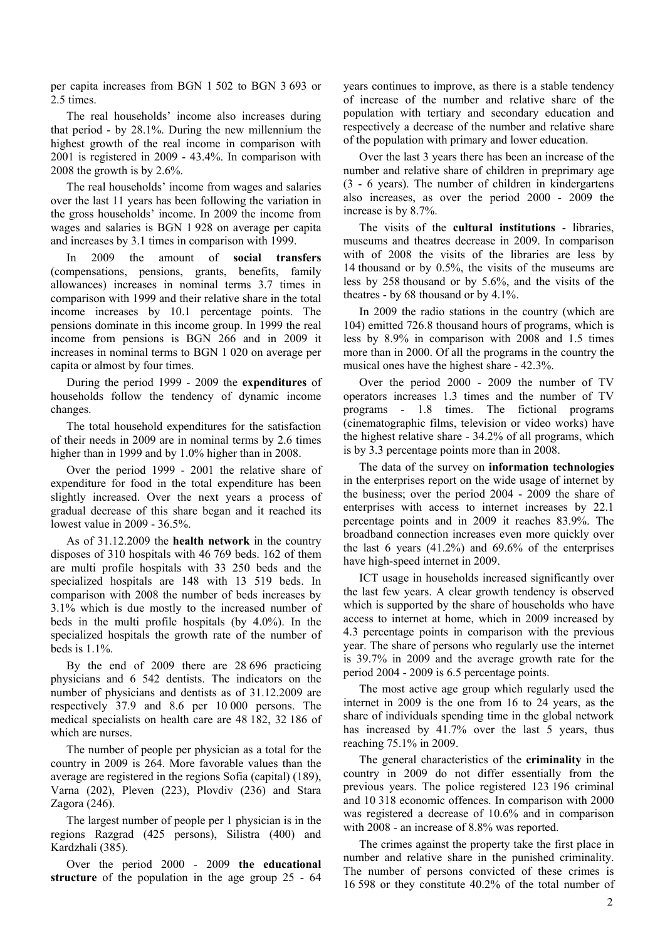per capita increases from BGN 1 502 to BGN 3 693 or 2.5 times.

The real households' income also increases during that period - by 28.1%. During the new millennium the highest growth of the real income in comparison with 2001 is registered in 2009 - 43.4%. In comparison with 2008 the growth is by 2.6%.

The real households' income from wages and salaries over the last 11 years has been following the variation in the gross households' income. In 2009 the income from wages and salaries is BGN 1 928 on average per capita and increases by 3.1 times in comparison with 1999.

In 2009 the amount of **social transfers** (compensations, pensions, grants, benefits, family allowances) increases in nominal terms 3.7 times in comparison with 1999 and their relative share in the total income increases by 10.1 percentage points. The pensions dominate in this income group. In 1999 the real income from pensions is BGN 266 and in 2009 it increases in nominal terms to BGN 1 020 on average per capita or almost by four times.

During the period 1999 - 2009 the **expenditures** of households follow the tendency of dynamic income changes.

The total household expenditures for the satisfaction of their needs in 2009 are in nominal terms by 2.6 times higher than in 1999 and by 1.0% higher than in 2008.

Over the period 1999 - 2001 the relative share of expenditure for food in the total expenditure has been slightly increased. Over the next years a process of gradual decrease of this share began and it reached its lowest value in 2009 - 36.5%.

As of 31.12.2009 the **health network** in the country disposes of 310 hospitals with 46 769 beds. 162 of them are multi profile hospitals with 33 250 beds and the specialized hospitals are 148 with 13 519 beds. In comparison with 2008 the number of beds increases by 3.1% which is due mostly to the increased number of beds in the multi profile hospitals (by 4.0%). In the specialized hospitals the growth rate of the number of beds is 1.1%.

By the end of 2009 there are 28 696 practicing physicians and 6 542 dentists. The indicators on the number of physicians and dentists as of 31.12.2009 are respectively 37.9 and 8.6 per 10 000 persons. The medical specialists on health care are 48 182, 32 186 of which are nurses.

The number of people per physician as a total for the country in 2009 is 264. More favorable values than the average are registered in the regions Sofia (capital) (189), Varna (202), Pleven (223), Plovdiv (236) and Stara Zagora (246).

The largest number of people per 1 physician is in the regions Razgrad (425 persons), Silistra (400) and Kardzhali (385).

Over the period 2000 - 2009 **the educational structure** of the population in the age group 25 - 64 years continues to improve, as there is a stable tendency of increase of the number and relative share of the population with tertiary and secondary education and respectively a decrease of the number and relative share of the population with primary and lower education.

Over the last 3 years there has been an increase of the number and relative share of children in preprimary age (3 - 6 years). The number of children in kindergartens also increases, as over the period 2000 - 2009 the increase is by 8.7%.

The visits of the **cultural institutions** - libraries, museums and theatres decrease in 2009. In comparison with of 2008 the visits of the libraries are less by 14 thousand or by 0.5%, the visits of the museums are less by 258 thousand or by 5.6%, and the visits of the theatres - by 68 thousand or by 4.1%.

In 2009 the radio stations in the country (which are 104) emitted 726.8 thousand hours of programs, which is less by 8.9% in comparison with 2008 and 1.5 times more than in 2000. Of all the programs in the country the musical ones have the highest share - 42.3%.

Over the period 2000 - 2009 the number of TV operators increases 1.3 times and the number of TV programs - 1.8 times. The fictional programs (cinematographic films, television or video works) have the highest relative share - 34.2% of all programs, which is by 3.3 percentage points more than in 2008.

The data of the survey on **information technologies** in the enterprises report on the wide usage of internet by the business; over the period 2004 - 2009 the share of enterprises with access to internet increases by 22.1 percentage points and in 2009 it reaches 83.9%. The broadband connection increases even more quickly over the last 6 years  $(41.2\%)$  and  $69.6\%$  of the enterprises have high-speed internet in 2009.

ICT usage in households increased significantly over the last few years. A clear growth tendency is observed which is supported by the share of households who have access to internet at home, which in 2009 increased by 4.3 percentage points in comparison with the previous year. The share of persons who regularly use the internet is 39.7% in 2009 and the average growth rate for the period 2004 - 2009 is 6.5 percentage points.

The most active age group which regularly used the internet in 2009 is the one from 16 to 24 years, as the share of individuals spending time in the global network has increased by 41.7% over the last 5 years, thus reaching 75.1% in 2009.

The general characteristics of the **criminality** in the country in 2009 do not differ essentially from the previous years. The police registered 123 196 criminal and 10 318 economic offences. In comparison with 2000 was registered a decrease of 10.6% and in comparison with 2008 - an increase of 8.8% was reported.

The crimes against the property take the first place in number and relative share in the punished criminality. The number of persons convicted of these crimes is 16 598 or they constitute 40.2% of the total number of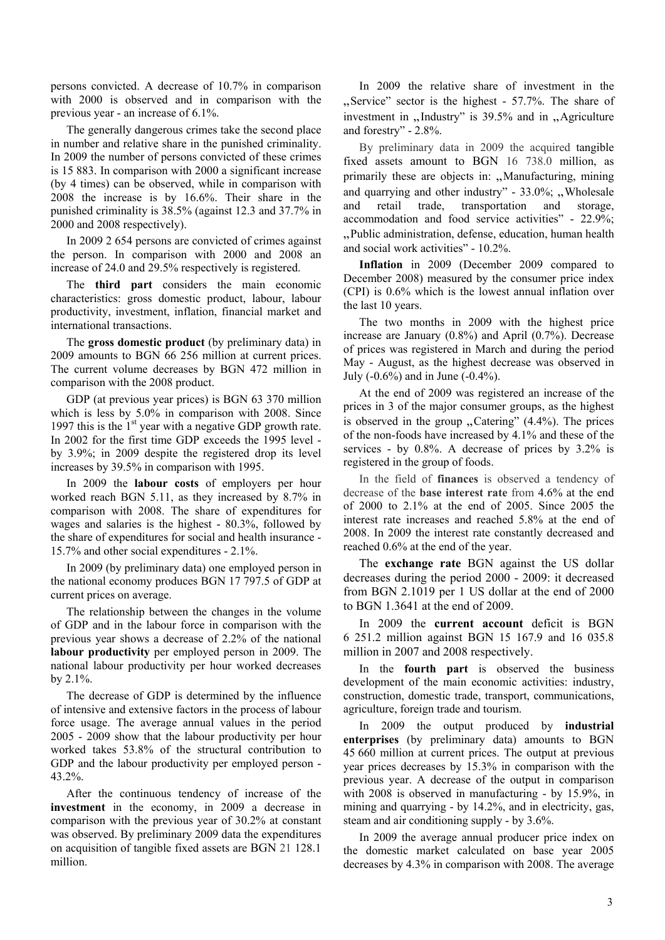persons convicted. A decrease of 10.7% in comparison with 2000 is observed and in comparison with the previous year - an increase of 6.1%.

The generally dangerous crimes take the second place in number and relative share in the punished criminality. In 2009 the number of persons convicted of these crimes is 15 883. In comparison with 2000 a significant increase (by 4 times) can be observed, while in comparison with 2008 the increase is by 16.6%. Their share in the punished criminality is 38.5% (against 12.3 and 37.7% in 2000 and 2008 respectively).

In 2009 2 654 persons are convicted of crimes against the person. In comparison with 2000 and 2008 an increase of 24.0 and 29.5% respectively is registered.

The **third part** considers the main economic characteristics: gross domestic product, labour, labour productivity, investment, inflation, financial market and international transactions.

The **gross domestic product** (by preliminary data) in 2009 amounts to BGN 66 256 million at current prices. The current volume decreases by BGN 472 million in comparison with the 2008 product.

GDP (at previous year prices) is BGN 63 370 million which is less by 5.0% in comparison with 2008. Since 1997 this is the  $1<sup>st</sup>$  year with a negative GDP growth rate. In 2002 for the first time GDP exceeds the 1995 level by 3.9%; in 2009 despite the registered drop its level increases by 39.5% in comparison with 1995.

In 2009 the **labour costs** of employers per hour worked reach BGN 5.11, as they increased by 8.7% in comparison with 2008. The share of expenditures for wages and salaries is the highest - 80.3%, followed by the share of expenditures for social and health insurance - 15.7% and other social expenditures - 2.1%.

In 2009 (by preliminary data) one employed person in the national economy produces BGN 17 797.5 of GDP at current prices on average.

The relationship between the changes in the volume of GDP and in the labour force in comparison with the previous year shows a decrease of 2.2% of the national **labour productivity** per employed person in 2009. The national labour productivity per hour worked decreases by 2.1%.

The decrease of GDP is determined by the influence of intensive and extensive factors in the process of labour force usage. The average annual values in the period 2005 - 2009 show that the labour productivity per hour worked takes 53.8% of the structural contribution to GDP and the labour productivity per employed person - 43.2%.

After the continuous tendency of increase of the **investment** in the economy, in 2009 a decrease in comparison with the previous year of 30.2% at constant was observed. By preliminary 2009 data the expenditures on acquisition of tangible fixed assets are BGN 21 128.1 million.

In 2009 the relative share of investment in the "Service" sector is the highest - 57.7%. The share of investment in  $n$ . Industry" is 39.5% and in  $n$ . Agriculture and forestry" - 2.8%.

By preliminary data in 2009 the acquired tangible fixed assets amount to BGN 16 738.0 million, as primarily these are objects in: "Manufacturing, mining and quarrying and other industry" -  $33.0\%$ ; "Wholesale and retail trade, transportation and storage, accommodation and food service activities" - 22.9%; "Public administration, defense, education, human health and social work activities" - 10.2%.

**Inflation** in 2009 (December 2009 compared to December 2008) measured by the consumer price index (CPI) is 0.6% which is the lowest annual inflation over the last 10 years.

The two months in 2009 with the highest price increase are January (0.8%) and April (0.7%). Decrease of prices was registered in March and during the period May - August, as the highest decrease was observed in July (-0.6%) and in June (-0.4%).

At the end of 2009 was registered an increase of the prices in 3 of the major consumer groups, as the highest is observed in the group  $\sqrt{C}$  Catering" (4.4%). The prices of the non-foods have increased by 4.1% and these of the services - by 0.8%. A decrease of prices by 3.2% is registered in the group of foods.

In the field of **finances** is observed a tendency of decrease of the **base interest rate** from 4.6% at the end of 2000 to 2.1% at the end of 2005. Since 2005 the interest rate increases and reached 5.8% at the end of 2008. In 2009 the interest rate constantly decreased and reached 0.6% at the end of the year.

The **exchange rate** BGN against the US dollar decreases during the period 2000 - 2009: it decreased from BGN 2.1019 per 1 US dollar at the end of 2000 to BGN 1.3641 at the end of 2009.

In 2009 the **current account** deficit is BGN 6 251.2 million against BGN 15 167.9 and 16 035.8 million in 2007 and 2008 respectively.

In the **fourth part** is observed the business development of the main economic activities: industry, construction, domestic trade, transport, communications, agriculture, foreign trade and tourism.

In 2009 the output produced by **industrial enterprises** (by preliminary data) amounts to BGN 45 660 million at current prices. The output at previous year prices decreases by 15.3% in comparison with the previous year. A decrease of the output in comparison with 2008 is observed in manufacturing - by 15.9%, in mining and quarrying - by 14.2%, and in electricity, gas, steam and air conditioning supply - by 3.6%.

In 2009 the average annual producer price index on the domestic market calculated on base year 2005 decreases by 4.3% in comparison with 2008. The average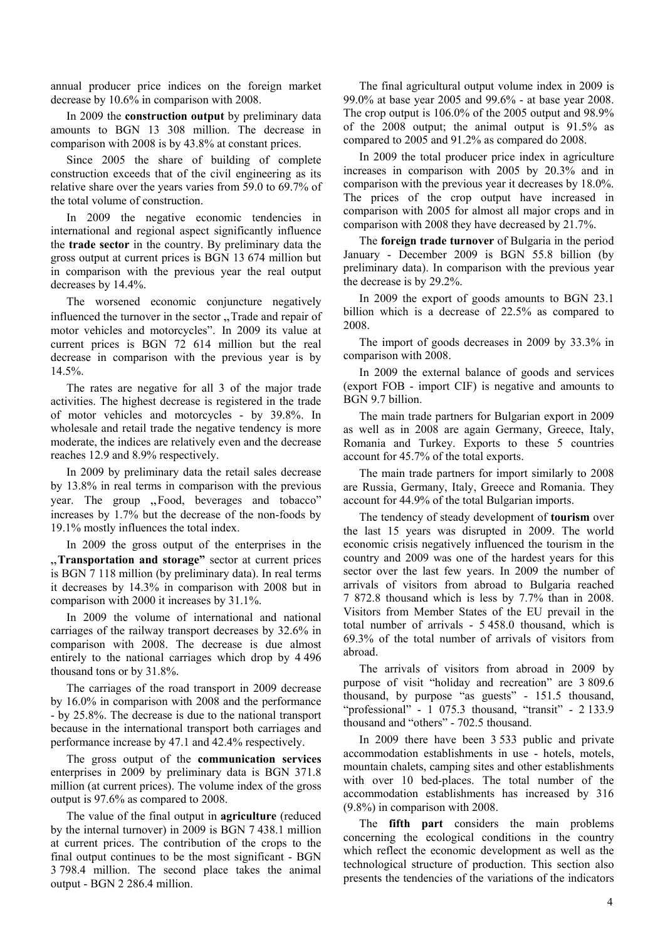annual producer price indices on the foreign market decrease by 10.6% in comparison with 2008.

In 2009 the **construction output** by preliminary data amounts to BGN 13 308 million. The decrease in comparison with 2008 is by 43.8% at constant prices.

Since 2005 the share of building of complete construction exceeds that of the civil engineering as its relative share over the years varies from 59.0 to 69.7% of the total volume of construction.

In 2009 the negative economic tendencies in international and regional aspect significantly influence the **trade sector** in the country. By preliminary data the gross output at current prices is BGN 13 674 million but in comparison with the previous year the real output decreases by 14.4%.

The worsened economic conjuncture negatively influenced the turnover in the sector . Trade and repair of motor vehicles and motorcycles". In 2009 its value at current prices is BGN 72 614 million but the real decrease in comparison with the previous year is by 14.5%.

The rates are negative for all 3 of the major trade activities. The highest decrease is registered in the trade of motor vehicles and motorcycles - by 39.8%. In wholesale and retail trade the negative tendency is more moderate, the indices are relatively even and the decrease reaches 12.9 and 8.9% respectively.

In 2009 by preliminary data the retail sales decrease by 13.8% in real terms in comparison with the previous year. The group "Food, beverages and tobacco" increases by 1.7% but the decrease of the non-foods by 19.1% mostly influences the total index.

In 2009 the gross output of the enterprises in the "Transportation and storage" sector at current prices is BGN 7 118 million (by preliminary data). In real terms it decreases by 14.3% in comparison with 2008 but in comparison with 2000 it increases by 31.1%.

In 2009 the volume of international and national carriages of the railway transport decreases by 32.6% in comparison with 2008. The decrease is due almost entirely to the national carriages which drop by 4 496 thousand tons or by 31.8%.

The carriages of the road transport in 2009 decrease by 16.0% in comparison with 2008 and the performance - by 25.8%. The decrease is due to the national transport because in the international transport both carriages and performance increase by 47.1 and 42.4% respectively.

The gross output of the **communication services** enterprises in 2009 by preliminary data is BGN 371.8 million (at current prices). The volume index of the gross output is 97.6% as compared to 2008.

The value of the final output in **agriculture** (reduced by the internal turnover) in 2009 is BGN 7 438.1 million at current prices. The contribution of the crops to the final output continues to be the most significant - BGN 3 798.4 million. The second place takes the animal output - BGN 2 286.4 million.

The final agricultural output volume index in 2009 is 99.0% at base year 2005 and 99.6% - at base year 2008. The crop output is 106.0% of the 2005 output and 98.9% of the 2008 output; the animal output is 91.5% as compared to 2005 and 91.2% as compared do 2008.

In 2009 the total producer price index in agriculture increases in comparison with 2005 by 20.3% and in comparison with the previous year it decreases by 18.0%. The prices of the crop output have increased in comparison with 2005 for almost all major crops and in comparison with 2008 they have decreased by 21.7%.

The **foreign trade turnover** of Bulgaria in the period January - December 2009 is BGN 55.8 billion (by preliminary data). In comparison with the previous year the decrease is by 29.2%.

In 2009 the export of goods amounts to BGN 23.1 billion which is a decrease of 22.5% as compared to 2008.

The import of goods decreases in 2009 by 33.3% in comparison with 2008.

In 2009 the external balance of goods and services (export FOB - import CIF) is negative and amounts to BGN 9.7 billion.

The main trade partners for Bulgarian export in 2009 as well as in 2008 are again Germany, Greece, Italy, Romania and Turkey. Exports to these 5 countries account for 45.7% of the total exports.

The main trade partners for import similarly to 2008 are Russia, Germany, Italy, Greece and Romania. They account for 44.9% of the total Bulgarian imports.

The tendency of steady development of **tourism** over the last 15 years was disrupted in 2009. The world economic crisis negatively influenced the tourism in the country and 2009 was one of the hardest years for this sector over the last few years. In 2009 the number of arrivals of visitors from abroad to Bulgaria reached 7 872.8 thousand which is less by 7.7% than in 2008. Visitors from Member States of the EU prevail in the total number of arrivals - 5 458.0 thousand, which is 69.3% of the total number of arrivals of visitors from abroad.

The arrivals of visitors from abroad in 2009 by purpose of visit "holiday and recreation" are 3 809.6 thousand, by purpose "as guests" - 151.5 thousand, "professional" - 1 075.3 thousand, "transit" - 2 133.9 thousand and "others" - 702.5 thousand.

In 2009 there have been 3 533 public and private accommodation establishments in use - hotels, motels, mountain chalets, camping sites and other establishments with over 10 bed-places. The total number of the accommodation establishments has increased by 316 (9.8%) in comparison with 2008.

The **fifth part** considers the main problems concerning the ecological conditions in the country which reflect the economic development as well as the technological structure of production. This section also presents the tendencies of the variations of the indicators